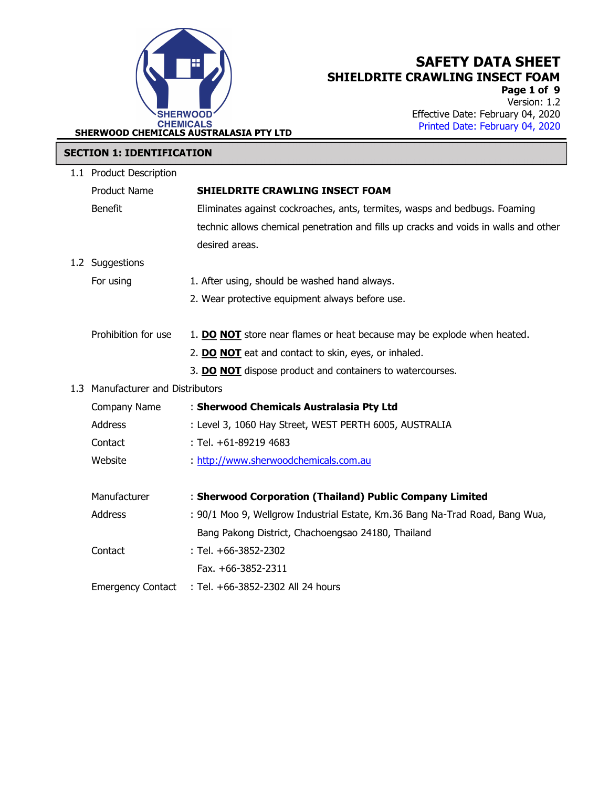

Page 1 of 9 Version: 1.2 Effective Date: February 04, 2020 Printed Date: February 04, 2020 .

#### SECTION 1: IDENTIFICATION

| 1.1 Product Description           |                                                                                      |
|-----------------------------------|--------------------------------------------------------------------------------------|
| <b>Product Name</b>               | <b>SHIELDRITE CRAWLING INSECT FOAM</b>                                               |
| <b>Benefit</b>                    | Eliminates against cockroaches, ants, termites, wasps and bedbugs. Foaming           |
|                                   | technic allows chemical penetration and fills up cracks and voids in walls and other |
|                                   | desired areas.                                                                       |
| 1.2 Suggestions                   |                                                                                      |
| For using                         | 1. After using, should be washed hand always.                                        |
|                                   | 2. Wear protective equipment always before use.                                      |
|                                   |                                                                                      |
| Prohibition for use               | 1. DO NOT store near flames or heat because may be explode when heated.              |
|                                   | 2. DO NOT eat and contact to skin, eyes, or inhaled.                                 |
|                                   | 3. DO NOT dispose product and containers to watercourses.                            |
| 1.3 Manufacturer and Distributors |                                                                                      |
| Company Name                      | : Sherwood Chemicals Australasia Pty Ltd                                             |
| Address                           | : Level 3, 1060 Hay Street, WEST PERTH 6005, AUSTRALIA                               |
| Contact                           | : Tel. +61-89219 4683                                                                |
| Website                           | : http://www.sherwoodchemicals.com.au                                                |
|                                   |                                                                                      |
| Manufacturer                      | : Sherwood Corporation (Thailand) Public Company Limited                             |
| <b>Address</b>                    | : 90/1 Moo 9, Wellgrow Industrial Estate, Km.36 Bang Na-Trad Road, Bang Wua,         |
|                                   | Bang Pakong District, Chachoengsao 24180, Thailand                                   |
| Contact                           | : Tel. +66-3852-2302                                                                 |
|                                   | Fax. +66-3852-2311                                                                   |
| <b>Emergency Contact</b>          | : Tel. +66-3852-2302 All 24 hours                                                    |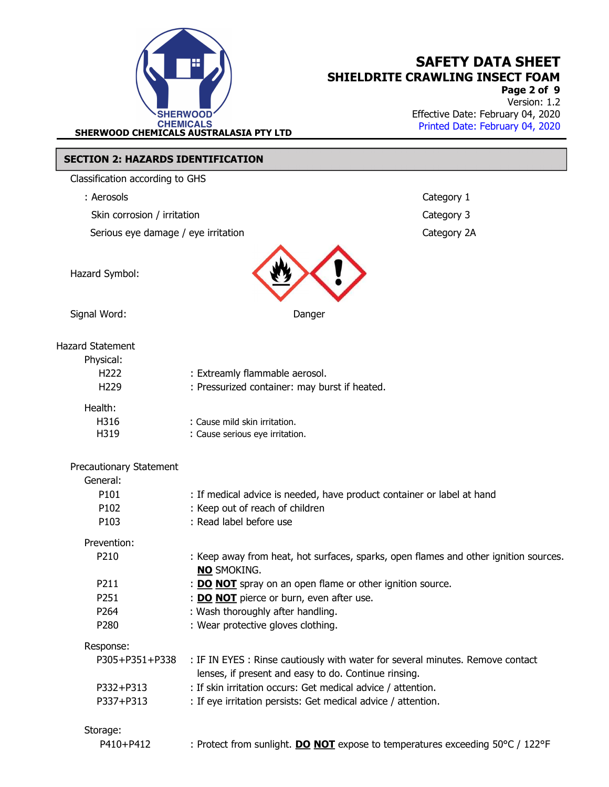

Page 2 of 9 Version: 1.2 Effective Date: February 04, 2020 Printed Date: February 04, 2020 .

### SECTION 2: HAZARDS IDENTIFICATION

Classification according to GHS

: Aerosols Category 1

Skin corrosion / irritation Category 3

Serious eye damage / eye irritation Category 2A



Signal Word: Danger

### Hazard Statement

| Physical:<br>H <sub>222</sub><br>H <sub>229</sub> | : Extreamly flammable aerosol.<br>: Pressurized container: may burst if heated. |
|---------------------------------------------------|---------------------------------------------------------------------------------|
| Health:<br>H316                                   | : Cause mild skin irritation.                                                   |

| H316 | : Cause mild skin irritation.   |
|------|---------------------------------|
| H319 | : Cause serious eye irritation. |

| <b>Precautionary Statement</b><br>General:<br>P <sub>101</sub> | : If medical advice is needed, have product container or label at hand                                                                |
|----------------------------------------------------------------|---------------------------------------------------------------------------------------------------------------------------------------|
| P <sub>102</sub>                                               | : Keep out of reach of children                                                                                                       |
| P <sub>103</sub>                                               | : Read label before use                                                                                                               |
| Prevention:                                                    |                                                                                                                                       |
| P <sub>210</sub>                                               | : Keep away from heat, hot surfaces, sparks, open flames and other ignition sources.<br><b>NO SMOKING.</b>                            |
| P <sub>2</sub> 11                                              | : <b>DO NOT</b> spray on an open flame or other ignition source.                                                                      |
| P <sub>251</sub>                                               | : <b>DO NOT</b> pierce or burn, even after use.                                                                                       |
| P <sub>264</sub>                                               | : Wash thoroughly after handling.                                                                                                     |
| P <sub>280</sub>                                               | : Wear protective gloves clothing.                                                                                                    |
| Response:                                                      |                                                                                                                                       |
| P305+P351+P338                                                 | : IF IN EYES: Rinse cautiously with water for several minutes. Remove contact<br>lenses, if present and easy to do. Continue rinsing. |
| P332+P313                                                      | : If skin irritation occurs: Get medical advice / attention.                                                                          |
| P337+P313                                                      | : If eye irritation persists: Get medical advice / attention.                                                                         |
| Storage:                                                       |                                                                                                                                       |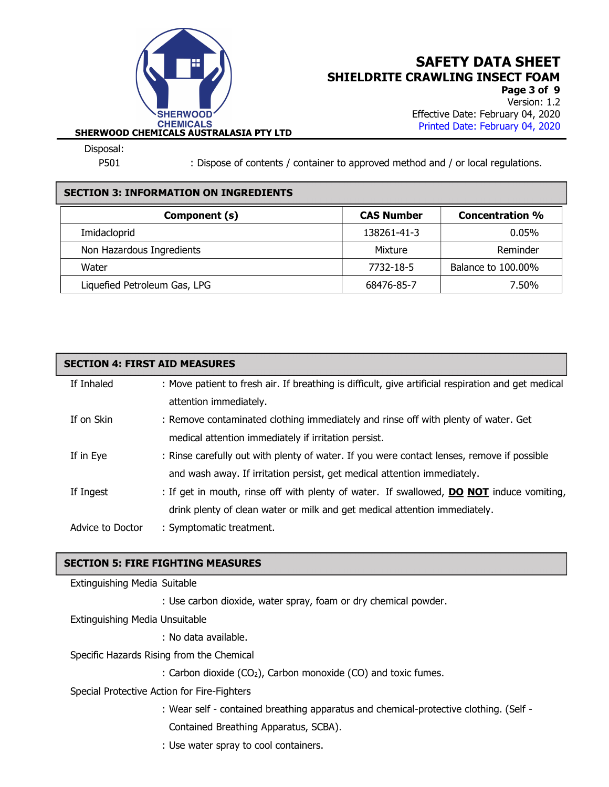

Page 3 of 9 Version: 1.2 Effective Date: February 04, 2020 Printed Date: February 04, 2020 .

Disposal:

P501 : Dispose of contents / container to approved method and / or local regulations.

### SECTION 3: INFORMATION ON INGREDIENTS

| Component (s)                | <b>CAS Number</b> | <b>Concentration %</b> |
|------------------------------|-------------------|------------------------|
| Imidacloprid                 | 138261-41-3       | $0.05\%$               |
| Non Hazardous Ingredients    | Mixture           | Reminder               |
| Water                        | 7732-18-5         | Balance to 100.00%     |
| Liquefied Petroleum Gas, LPG | 68476-85-7        | 7.50%                  |

| <b>SECTION 4: FIRST AID MEASURES</b> |                                                                                                     |  |  |  |
|--------------------------------------|-----------------------------------------------------------------------------------------------------|--|--|--|
| If Inhaled                           | : Move patient to fresh air. If breathing is difficult, give artificial respiration and get medical |  |  |  |
|                                      | attention immediately.                                                                              |  |  |  |
| If on Skin                           | : Remove contaminated clothing immediately and rinse off with plenty of water. Get                  |  |  |  |
|                                      | medical attention immediately if irritation persist.                                                |  |  |  |
| If in Eye                            | : Rinse carefully out with plenty of water. If you were contact lenses, remove if possible          |  |  |  |
|                                      | and wash away. If irritation persist, get medical attention immediately.                            |  |  |  |
| If Ingest                            | : If get in mouth, rinse off with plenty of water. If swallowed, <b>DO NOT</b> induce vomiting,     |  |  |  |
|                                      | drink plenty of clean water or milk and get medical attention immediately.                          |  |  |  |
| Advice to Doctor                     | : Symptomatic treatment.                                                                            |  |  |  |

### SECTION 5: FIRE FIGHTING MEASURES

Extinguishing Media Suitable

: Use carbon dioxide, water spray, foam or dry chemical powder.

Extinguishing Media Unsuitable

: No data available.

Specific Hazards Rising from the Chemical

: Carbon dioxide (CO<sub>2</sub>), Carbon monoxide (CO) and toxic fumes.

Special Protective Action for Fire-Fighters

: Wear self - contained breathing apparatus and chemical-protective clothing. (Self -

Contained Breathing Apparatus, SCBA).

: Use water spray to cool containers.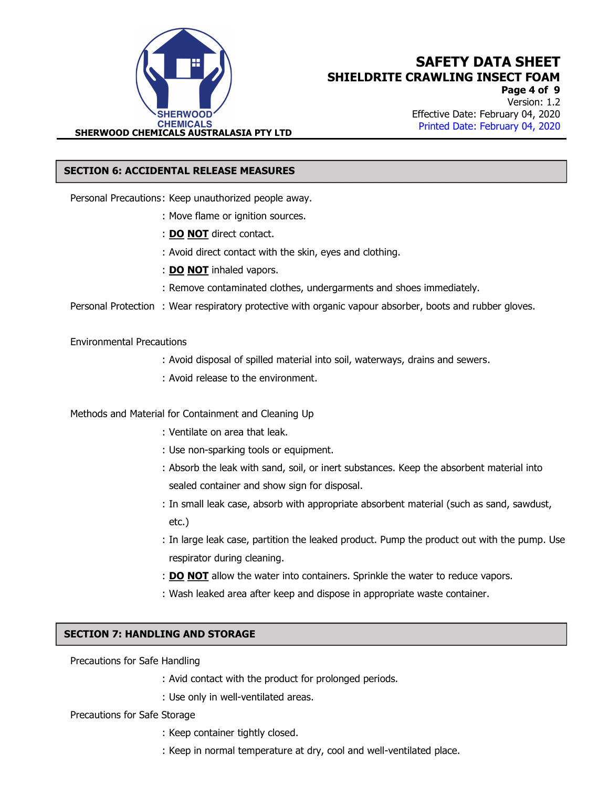

Page 4 of 9 Version: 1.2 Effective Date: February 04, 2020 Printed Date: February 04, 2020 .

#### SECTION 6: ACCIDENTAL RELEASE MEASURES

Personal Precautions : Keep unauthorized people away.

- : Move flame or ignition sources.
- : **DO NOT** direct contact.
- : Avoid direct contact with the skin, eyes and clothing.
- : DO NOT inhaled vapors.
- : Remove contaminated clothes, undergarments and shoes immediately.

Personal Protection : Wear respiratory protective with organic vapour absorber, boots and rubber gloves.

#### Environmental Precautions

- : Avoid disposal of spilled material into soil, waterways, drains and sewers.
- : Avoid release to the environment.

Methods and Material for Containment and Cleaning Up

- : Ventilate on area that leak.
- : Use non-sparking tools or equipment.
- : Absorb the leak with sand, soil, or inert substances. Keep the absorbent material into sealed container and show sign for disposal.
- : In small leak case, absorb with appropriate absorbent material (such as sand, sawdust, etc.)
- : In large leak case, partition the leaked product. Pump the product out with the pump. Use respirator during cleaning.
- : **DO NOT** allow the water into containers. Sprinkle the water to reduce vapors.
- : Wash leaked area after keep and dispose in appropriate waste container.

#### SECTION 7: HANDLING AND STORAGE

Precautions for Safe Handling

- : Avid contact with the product for prolonged periods.
- : Use only in well-ventilated areas.

Precautions for Safe Storage

- : Keep container tightly closed.
- : Keep in normal temperature at dry, cool and well-ventilated place.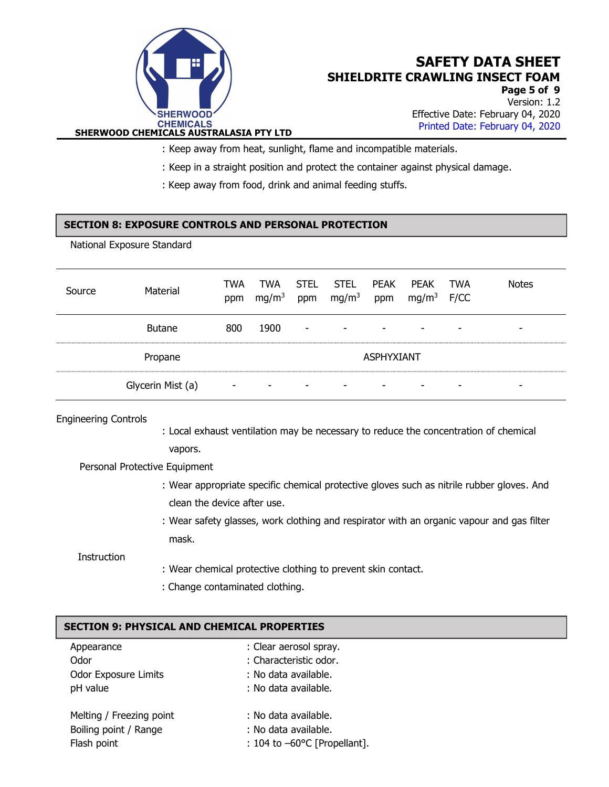

Page 5 of 9 Version: 1.2 Effective Date: February 04, 2020 Printed Date: February 04, 2020 .

: Keep away from heat, sunlight, flame and incompatible materials.

- : Keep in a straight position and protect the container against physical damage.
- : Keep away from food, drink and animal feeding stuffs.

### SECTION 8: EXPOSURE CONTROLS AND PERSONAL PROTECTION

National Exposure Standard

| Source | Material          | TWA<br>ppm               | TWA<br>mg/m <sup>3</sup> | STEL<br>ppm              | STEL<br>mg/m <sup>3</sup> | PEAK<br>ppm       | PEAK<br>$mg/m3$ F/CC | TWA | <b>Notes</b> |
|--------|-------------------|--------------------------|--------------------------|--------------------------|---------------------------|-------------------|----------------------|-----|--------------|
|        | <b>Butane</b>     | 800                      | 1900                     | $\sim$                   | $\sim$                    | ۰                 |                      | -   |              |
|        | Propane           |                          |                          |                          |                           | <b>ASPHYXIANT</b> |                      |     |              |
|        | Glycerin Mist (a) | $\overline{\phantom{a}}$ | $\overline{\phantom{a}}$ | $\overline{\phantom{a}}$ | $\overline{\phantom{a}}$  |                   |                      |     |              |

# Engineering Controls : Local exhaust ventilation may be necessary to reduce the concentration of chemical vapors. Personal Protective Equipment

- : Wear appropriate specific chemical protective gloves such as nitrile rubber gloves. And clean the device after use.
- : Wear safety glasses, work clothing and respirator with an organic vapour and gas filter mask.

**Instruction** 

- : Wear chemical protective clothing to prevent skin contact.
- : Change contaminated clothing.

### SECTION 9: PHYSICAL AND CHEMICAL PROPERTIES

| Appearance                  | : Clear aerosol spray.                 |
|-----------------------------|----------------------------------------|
| Odor                        | : Characteristic odor.                 |
| <b>Odor Exposure Limits</b> | : No data available.                   |
| pH value                    | : No data available.                   |
| Melting / Freezing point    | : No data available.                   |
| Boiling point / Range       | : No data available.                   |
| Flash point                 | : 104 to $-60^{\circ}$ C [Propellant]. |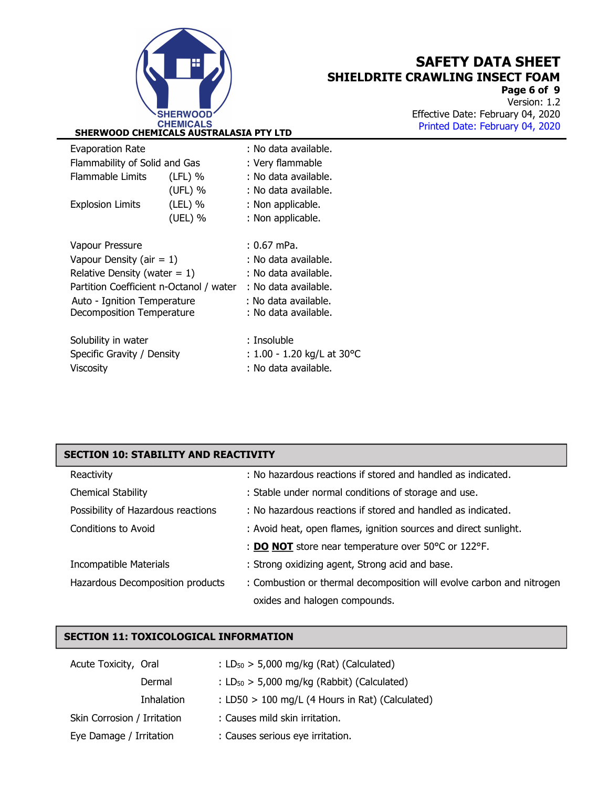

Page 6 of 9 Version: 1.2 Effective Date: February 04, 2020 Printed Date: February 04, 2020 .

|           | <b>Evaporation Rate</b>                 | : No data available. |                             |  |
|-----------|-----------------------------------------|----------------------|-----------------------------|--|
|           | Flammability of Solid and Gas           |                      | : Very flammable            |  |
|           | <b>Flammable Limits</b>                 | $(LFL)$ %            | : No data available.        |  |
|           |                                         | (UFL) %              | : No data available.        |  |
|           | <b>Explosion Limits</b>                 | $(LEL)$ %            | : Non applicable.           |  |
|           |                                         | (UEL) %              | : Non applicable.           |  |
|           |                                         |                      |                             |  |
|           | Vapour Pressure                         | $: 0.67$ mPa.        |                             |  |
|           | Vapour Density (air = $1$ )             | : No data available. |                             |  |
|           | Relative Density (water $= 1$ )         | : No data available. |                             |  |
|           | Partition Coefficient n-Octanol / water | : No data available. |                             |  |
|           | Auto - Ignition Temperature             | : No data available. |                             |  |
|           | Decomposition Temperature               |                      | : No data available.        |  |
|           |                                         |                      |                             |  |
|           | Solubility in water                     |                      | : Insoluble                 |  |
|           | Specific Gravity / Density              |                      | : 1.00 - 1.20 kg/L at 30 °C |  |
| Viscosity |                                         | : No data available. |                             |  |
|           |                                         |                      |                             |  |

# Reactivity **Reactivity** : No hazardous reactions if stored and handled as indicated. Chemical Stability **Stable under normal conditions of storage and use.** Chemical Stability Possibility of Hazardous reactions : No hazardous reactions if stored and handled as indicated. Conditions to Avoid **interpretent in the conditions** : Avoid heat, open flames, ignition sources and direct sunlight. : **DO NOT** store near temperature over 50°C or 122°F. Incompatible Materials : Strong oxidizing agent, Strong acid and base. Hazardous Decomposition products : Combustion or thermal decomposition will evolve carbon and nitrogen oxides and halogen compounds. SECTION 10: STABILITY AND REACTIVITY

### SECTION 11: TOXICOLOGICAL INFORMATION

| Acute Toxicity, Oral        | : $LD_{50}$ > 5,000 mg/kg (Rat) (Calculated)      |
|-----------------------------|---------------------------------------------------|
| Dermal                      | : $LD_{50}$ > 5,000 mg/kg (Rabbit) (Calculated)   |
| Inhalation                  | : LD50 $>$ 100 mg/L (4 Hours in Rat) (Calculated) |
| Skin Corrosion / Irritation | : Causes mild skin irritation.                    |
| Eye Damage / Irritation     | : Causes serious eye irritation.                  |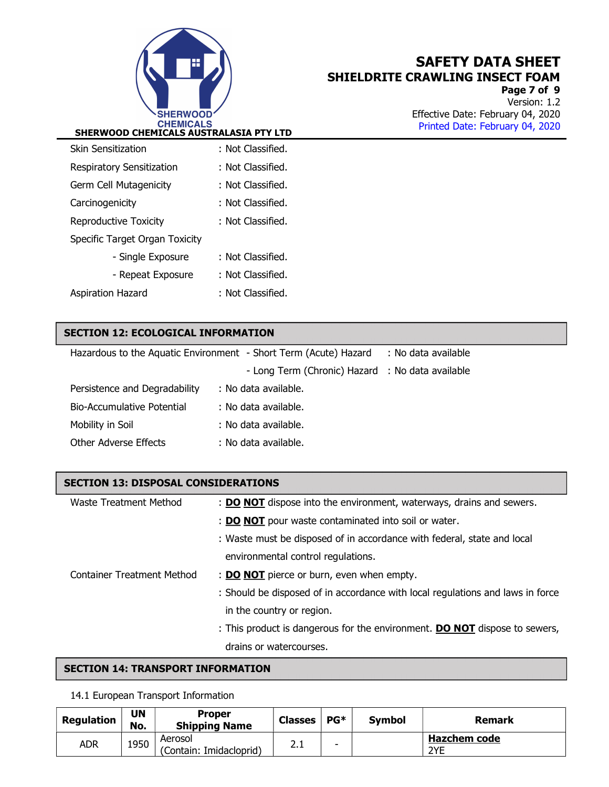

Page 7 of 9 Version: 1.2 Effective Date: February 04, 2020 Printed Date: February 04, 2020 .

| Skin Sensitization             | : Not Classified. |
|--------------------------------|-------------------|
| Respiratory Sensitization      | : Not Classified. |
| Germ Cell Mutagenicity         | : Not Classified. |
| Carcinogenicity                | : Not Classified. |
| <b>Reproductive Toxicity</b>   | : Not Classified. |
| Specific Target Organ Toxicity |                   |
| - Single Exposure              | : Not Classified. |
| - Repeat Exposure              | : Not Classified. |
| Aspiration Hazard              | : Not Classified. |

### SECTION 12: ECOLOGICAL INFORMATION

| Hazardous to the Aquatic Environment - Short Term (Acute) Hazard | : No data available                              |  |
|------------------------------------------------------------------|--------------------------------------------------|--|
|                                                                  | - Long Term (Chronic) Hazard : No data available |  |
| Persistence and Degradability                                    | : No data available.                             |  |
| Bio-Accumulative Potential                                       | : No data available.                             |  |
| Mobility in Soil                                                 | : No data available.                             |  |
| Other Adverse Effects                                            | : No data available.                             |  |

### SECTION 13: DISPOSAL CONSIDERATIONS

| Waste Treatment Method     | : DO NOT dispose into the environment, waterways, drains and sewers.              |
|----------------------------|-----------------------------------------------------------------------------------|
|                            | : <b>DO NOT</b> pour waste contaminated into soil or water.                       |
|                            | : Waste must be disposed of in accordance with federal, state and local           |
|                            | environmental control regulations.                                                |
| Container Treatment Method | : <b>DO NOT</b> pierce or burn, even when empty.                                  |
|                            | : Should be disposed of in accordance with local regulations and laws in force    |
|                            | in the country or region.                                                         |
|                            | : This product is dangerous for the environment. <b>DO NOT</b> dispose to sewers, |
|                            | drains or watercourses.                                                           |

### SECTION 14: TRANSPORT INFORMATION

#### 14.1 European Transport Information

| Regulation | <b>UN</b><br>No. | <b>Proper</b><br><b>Shipping Name</b> | <b>Classes</b> | $PG*$ | <b>Symbol</b> | Remark                     |
|------------|------------------|---------------------------------------|----------------|-------|---------------|----------------------------|
| adr        | 1950             | Aerosol<br>(Contain: Imidacloprid)    | 2. L           | ۰     |               | <b>Hazchem code</b><br>2YE |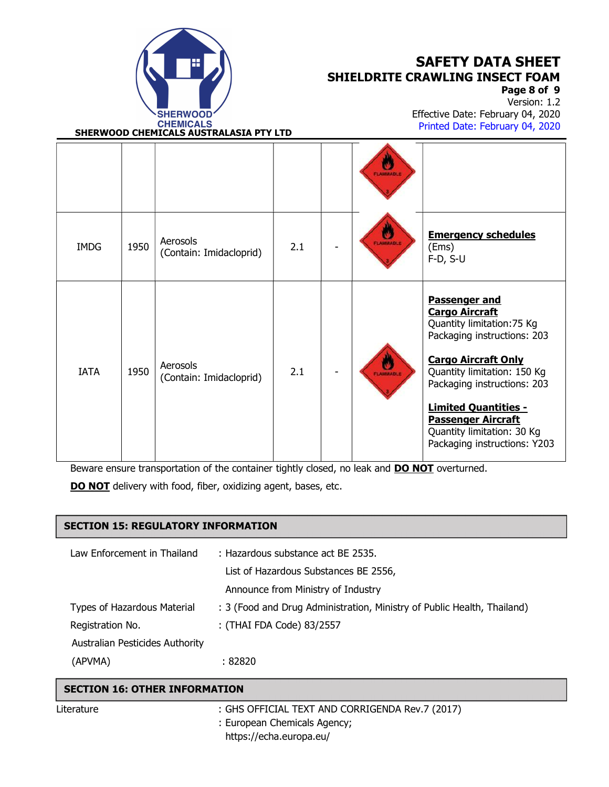

Page 8 of 9

Version: 1.2 Effective Date: February 04, 2020 Printed Date: February 04, 2020 .

SHERWOOD CHEMICALS AUSTRALASIA PTY LTD

|             |      |                                     |     | <b>FLAMMABLE</b> |                                                                                                                                                                                                                                                                                                                                  |
|-------------|------|-------------------------------------|-----|------------------|----------------------------------------------------------------------------------------------------------------------------------------------------------------------------------------------------------------------------------------------------------------------------------------------------------------------------------|
| <b>IMDG</b> | 1950 | Aerosols<br>(Contain: Imidacloprid) | 2.1 | <b>FLAMMABLE</b> | <b>Emergency schedules</b><br>(Ems)<br>$F-D, S-U$                                                                                                                                                                                                                                                                                |
| <b>IATA</b> | 1950 | Aerosols<br>(Contain: Imidacloprid) | 2.1 | FLAMMABLE        | <b>Passenger and</b><br><b>Cargo Aircraft</b><br>Quantity limitation: 75 Kg<br>Packaging instructions: 203<br><b>Cargo Aircraft Only</b><br>Quantity limitation: 150 Kg<br>Packaging instructions: 203<br><b>Limited Quantities -</b><br><b>Passenger Aircraft</b><br>Quantity limitation: 30 Kg<br>Packaging instructions: Y203 |

Beware ensure transportation of the container tightly closed, no leak and **DO NOT** overturned.

DO NOT delivery with food, fiber, oxidizing agent, bases, etc.

### SECTION 15: REGULATORY INFORMATION

| Law Enforcement in Thailand     | : Hazardous substance act BE 2535.                                      |  |
|---------------------------------|-------------------------------------------------------------------------|--|
|                                 | List of Hazardous Substances BE 2556,                                   |  |
|                                 | Announce from Ministry of Industry                                      |  |
| Types of Hazardous Material     | : 3 (Food and Drug Administration, Ministry of Public Health, Thailand) |  |
| Registration No.                | : (THAI FDA Code) 83/2557                                               |  |
| Australian Pesticides Authority |                                                                         |  |
| (APVMA)                         | : 82820                                                                 |  |

## Literature : GHS OFFICIAL TEXT AND CORRIGENDA Rev.7 (2017) : European Chemicals Agency; https://echa.europa.eu/ SECTION 16: OTHER INFORMATION